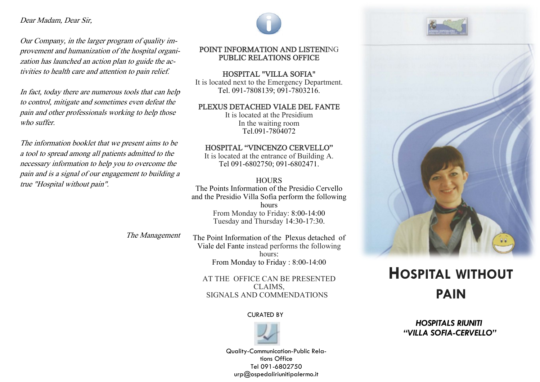#### Dear Madam, Dear Sir,

Our Company, in the larger program of quality improvement and humanization of the hospital organization has launched an action plan to guide the activities to health care and attention to pain relief.

In fact, today there are numerous tools that can help to control, mitigate and sometimes even defeat the pain and other professionals working to help those who suffer.

The information booklet that we present aims to be a tool to spread among all patients admitted to the necessary information to help you to overcome the pain and is a signal of our engagement to building a true "Hospital without pain".



### POINT INFORMATION AND LISTENING PUBLIC RELATIONS OFFICE

HOSPITAL "VILLA SOFIA" It is located next to the Emergency Department. Tel. 091-7808139; 091-7803216.

#### PLEXUS DETACHED VIALE DEL FANTE

It is located at the Presidium In the waiting room Tel.091-7804072

#### HOSPITAL "VINCENZO CERVELLO"

It is located at the entrance of Building A. Tel 091-6802750; 091-6802471.

#### **HOURS**

The Points Information of the Presidio Cervello and the Presidio Villa Sofia perform the following hours From Monday to Friday: 8:00-14:00 Tuesday and Thursday 14:30-17:30.

The Management

The Point Information of the Plexus detached of Viale del Fante instead performs the following hours: From Monday to Friday : 8:00-14:00

> AT THE OFFICE CAN BE PRESENTED CLAIMS, SIGNALS AND COMMENDATIONS

#### CURATED BY



Quality-Communication-Public Relations Office Tel 091-6802750 urp@ospedaliriunitipalermo.it





# **HOSPITAL WITHOUT PAIN**

# *HOSPITALS RIUNITI "VILLA SOFIA-CERVELLO"*